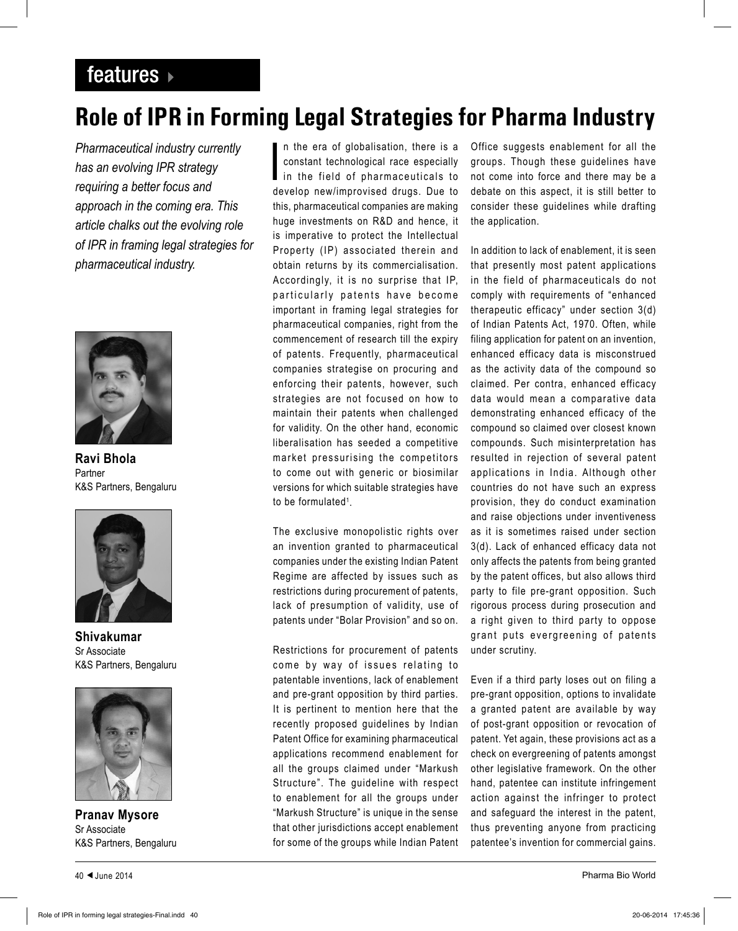## features  $\rightarrow$

## **Role of IPR in Forming Legal Strategies for Pharma Industry**

*Pharmaceutical industry currently has an evolving IPR strategy requiring a better focus and approach in the coming era. This article chalks out the evolving role of IPR in framing legal strategies for pharmaceutical industry.*



**Ravi Bhola** Partner K&S Partners, Bengaluru



**Shivakumar** Sr Associate K&S Partners, Bengaluru



**Pranav Mysore** Sr Associate K&S Partners, Bengaluru

I n the era of globalisation, there is a constant technological race especially in the field of pharmaceuticals to develop new/improvised drugs. Due to this, pharmaceutical companies are making huge investments on R&D and hence, it is imperative to protect the Intellectual Property (IP) associated therein and obtain returns by its commercialisation. Accordingly, it is no surprise that IP, particularly patents have become important in framing legal strategies for pharmaceutical companies, right from the commencement of research till the expiry of patents. Frequently, pharmaceutical companies strategise on procuring and enforcing their patents, however, such strategies are not focused on how to maintain their patents when challenged for validity. On the other hand, economic liberalisation has seeded a competitive market pressurising the competitors to come out with generic or biosimilar versions for which suitable strategies have to be formulated<sup>1</sup>.

The exclusive monopolistic rights over an invention granted to pharmaceutical companies under the existing Indian Patent Regime are affected by issues such as restrictions during procurement of patents, lack of presumption of validity, use of patents under "Bolar Provision" and so on.

Restrictions for procurement of patents come by way of issues relating to patentable inventions, lack of enablement and pre-grant opposition by third parties. It is pertinent to mention here that the recently proposed guidelines by Indian Patent Office for examining pharmaceutical applications recommend enablement for all the groups claimed under "Markush Structure". The guideline with respect to enablement for all the groups under "Markush Structure" is unique in the sense that other jurisdictions accept enablement for some of the groups while Indian Patent

Office suggests enablement for all the groups. Though these guidelines have not come into force and there may be a debate on this aspect, it is still better to consider these guidelines while drafting the application.

In addition to lack of enablement, it is seen that presently most patent applications in the field of pharmaceuticals do not comply with requirements of "enhanced therapeutic efficacy" under section 3(d) of Indian Patents Act, 1970. Often, while filing application for patent on an invention, enhanced efficacy data is misconstrued as the activity data of the compound so claimed. Per contra, enhanced efficacy data would mean a comparative data demonstrating enhanced efficacy of the compound so claimed over closest known compounds. Such misinterpretation has resulted in rejection of several patent applications in India. Although other countries do not have such an express provision, they do conduct examination and raise objections under inventiveness as it is sometimes raised under section 3(d). Lack of enhanced efficacy data not only affects the patents from being granted by the patent offices, but also allows third party to file pre-grant opposition. Such rigorous process during prosecution and a right given to third party to oppose grant puts evergreening of patents under scrutiny.

Even if a third party loses out on filing a pre-grant opposition, options to invalidate a granted patent are available by way of post-grant opposition or revocation of patent. Yet again, these provisions act as a check on evergreening of patents amongst other legislative framework. On the other hand, patentee can institute infringement action against the infringer to protect and safeguard the interest in the patent, thus preventing anyone from practicing patentee's invention for commercial gains.